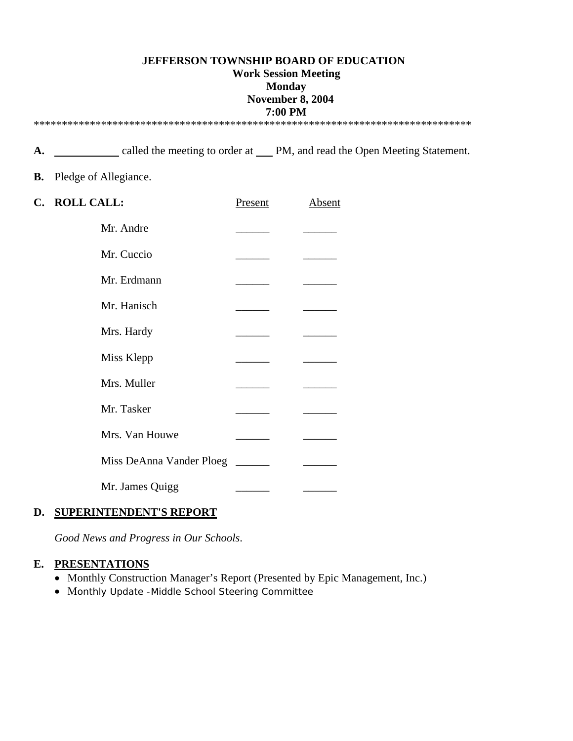#### **JEFFERSON TOWNSHIP BOARD OF EDUCATION Work Session Meeting Monday November 8, 2004 7:00 PM**  \*\*\*\*\*\*\*\*\*\*\*\*\*\*\*\*\*\*\*\*\*\*\*\*\*\*\*\*\*\*\*\*\*\*\*\*\*\*\*\*\*\*\*\*\*\*\*\*\*\*\*\*\*\*\*\*\*\*\*\*\*\*\*\*\*\*\*\*\*\*\*\*\*\*\*\*\*\*

A. <u>called the meeting to order at PM, and read the Open Meeting Statement.</u>

#### **B.** Pledge of Allegiance.

| C. ROLL CALL:            | <b>Present</b> | <b>Absent</b> |
|--------------------------|----------------|---------------|
| Mr. Andre                |                |               |
| Mr. Cuccio               |                |               |
| Mr. Erdmann              |                |               |
| Mr. Hanisch              |                |               |
| Mrs. Hardy               |                |               |
| Miss Klepp               |                |               |
| Mrs. Muller              |                |               |
| Mr. Tasker               |                |               |
| Mrs. Van Houwe           |                |               |
| Miss DeAnna Vander Ploeg |                |               |
| Mr. James Quigg          |                |               |

### **D. SUPERINTENDENT'S REPORT**

*Good News and Progress in Our Schools*.

#### **E. PRESENTATIONS**

- Monthly Construction Manager's Report (Presented by Epic Management, Inc.)
- Monthly Update -Middle School Steering Committee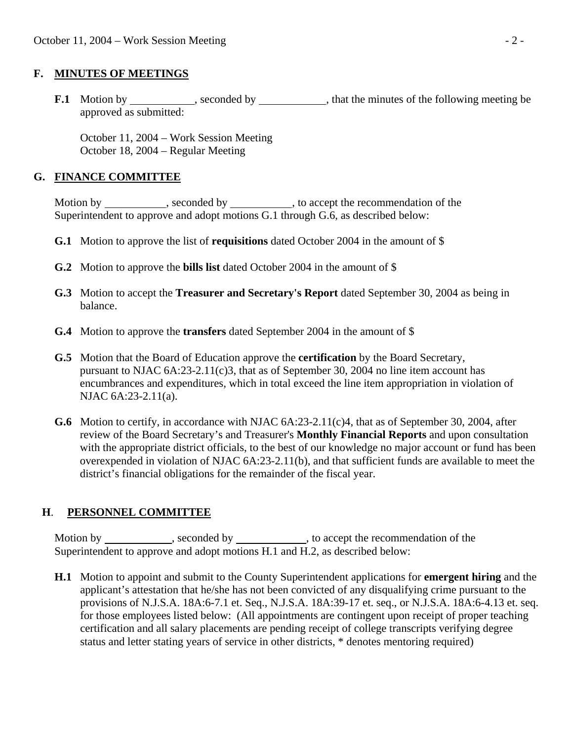### **F. MINUTES OF MEETINGS**

**F.1** Motion by seconded by seconded by that the minutes of the following meeting be approved as submitted:

 October 11, 2004 – Work Session Meeting October 18, 2004 – Regular Meeting

### **G. FINANCE COMMITTEE**

Motion by \_\_\_\_\_\_\_\_\_\_, seconded by \_\_\_\_\_\_\_\_\_, to accept the recommendation of the Superintendent to approve and adopt motions G.1 through G.6, as described below:

- **G.1** Motion to approve the list of **requisitions** dated October 2004 in the amount of \$
- **G.2** Motion to approve the **bills list** dated October 2004 in the amount of \$
- **G.3** Motion to accept the **Treasurer and Secretary's Report** dated September 30, 2004 as being in balance.
- **G.4** Motion to approve the **transfers** dated September 2004 in the amount of \$
- **G.5** Motion that the Board of Education approve the **certification** by the Board Secretary, pursuant to NJAC 6A:23-2.11(c)3, that as of September 30, 2004 no line item account has encumbrances and expenditures, which in total exceed the line item appropriation in violation of NJAC 6A:23-2.11(a).
- **G.6** Motion to certify, in accordance with NJAC 6A:23-2.11(c)4, that as of September 30, 2004, after review of the Board Secretary's and Treasurer's **Monthly Financial Reports** and upon consultation with the appropriate district officials, to the best of our knowledge no major account or fund has been overexpended in violation of NJAC 6A:23-2.11(b), and that sufficient funds are available to meet the district's financial obligations for the remainder of the fiscal year.

# **H**. **PERSONNEL COMMITTEE**

Motion by \_\_\_\_\_\_\_\_\_\_, seconded by \_\_\_\_\_\_\_\_\_, to accept the recommendation of the Superintendent to approve and adopt motions H.1 and H.2, as described below:

 **H.1** Motion to appoint and submit to the County Superintendent applications for **emergent hiring** and the applicant's attestation that he/she has not been convicted of any disqualifying crime pursuant to the provisions of N.J.S.A. 18A:6-7.1 et. Seq., N.J.S.A. 18A:39-17 et. seq., or N.J.S.A. 18A:6-4.13 et. seq. for those employees listed below: (All appointments are contingent upon receipt of proper teaching certification and all salary placements are pending receipt of college transcripts verifying degree status and letter stating years of service in other districts, \* denotes mentoring required)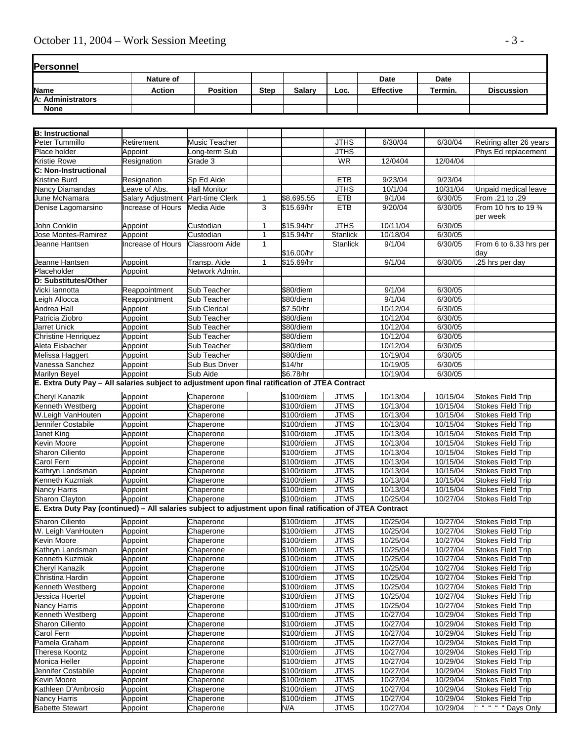| <b>Personnel</b>  |                  |                 |             |        |      |                  |         |                   |
|-------------------|------------------|-----------------|-------------|--------|------|------------------|---------|-------------------|
|                   | <b>Nature of</b> |                 |             |        |      | Date             | Date    |                   |
| Name              | <b>Action</b>    | <b>Position</b> | <b>Step</b> | Salary | Loc. | <b>Effective</b> | Termin. | <b>Discussion</b> |
| A: Administrators |                  |                 |             |        |      |                  |         |                   |
| <b>None</b>       |                  |                 |             |        |      |                  |         |                   |

| <b>B: Instructional</b>                                                                                     |                   |                       |              |            |                 |          |          |                                   |
|-------------------------------------------------------------------------------------------------------------|-------------------|-----------------------|--------------|------------|-----------------|----------|----------|-----------------------------------|
| Peter Tummillo                                                                                              | Retirement        | Music Teacher         |              |            | <b>JTHS</b>     | 6/30/04  | 6/30/04  | Retiring after 26 years           |
| Place holder                                                                                                | Appoint           | Long-term Sub         |              |            | <b>JTHS</b>     |          |          | Phys Ed replacement               |
| Kristie Rowe                                                                                                | Resignation       | Grade 3               |              |            | <b>WR</b>       | 12/0404  | 12/04/04 |                                   |
| C: Non-Instructional                                                                                        |                   |                       |              |            |                 |          |          |                                   |
| Kristine Burd                                                                                               | Resignation       | Sp Ed Aide            |              |            | <b>ETB</b>      | 9/23/04  | 9/23/04  |                                   |
| Nancy Diamandas                                                                                             | Leave of Abs.     | <b>Hall Monitor</b>   |              |            | <b>JTHS</b>     | 10/1/04  | 10/31/04 | Unpaid medical leave              |
| June McNamara                                                                                               | Salary Adjustment | Part-time Clerk       | 1            | \$8,695.55 | <b>ETB</b>      | 9/1/04   | 6/30/05  | From .21 to .29                   |
| Denise Lagomarsino                                                                                          | Increase of Hours | Media Aide            | 3            | \$15.69/hr | <b>ETB</b>      | 9/20/04  | 6/30/05  | From 10 hrs to 19 3/4<br>per week |
| John Conklin                                                                                                | Appoint           | Custodian             | 1            | \$15.94/hr | <b>JTHS</b>     | 10/11/04 | 6/30/05  |                                   |
| Jose Montes-Ramirez                                                                                         | Appoint           | Custodian             | 1            | \$15.94/hr | Stanlick        | 10/18/04 | 6/30/05  |                                   |
| Jeanne Hantsen                                                                                              | Increase of Hours | <b>Classroom Aide</b> | $\mathbf{1}$ | \$16.00/hr | <b>Stanlick</b> | 9/1/04   | 6/30/05  | From 6 to 6.33 hrs per<br>day     |
| Jeanne Hantsen                                                                                              | Appoint           | Transp. Aide          | 1            | \$15.69/hr |                 | 9/1/04   | 6/30/05  | .25 hrs per day                   |
| Placeholder                                                                                                 | Appoint           | Network Admin.        |              |            |                 |          |          |                                   |
| D: Substitutes/Other                                                                                        |                   |                       |              |            |                 |          |          |                                   |
| Vicki lannotta                                                                                              | Reappointment     | Sub Teacher           |              | \$80/diem  |                 | 9/1/04   | 6/30/05  |                                   |
| eigh Allocca                                                                                                | Reappointment     | Sub Teacher           |              | \$80/diem  |                 | 9/1/04   | 6/30/05  |                                   |
| Andrea Hall                                                                                                 | Appoint           | Sub Clerical          |              | \$7.50/hr  |                 | 10/12/04 | 6/30/05  |                                   |
| Patricia Ziobro                                                                                             | Appoint           | Sub Teacher           |              | \$80/diem  |                 | 10/12/04 | 6/30/05  |                                   |
| Jarret Unick                                                                                                | Appoint           | Sub Teacher           |              | \$80/diem  |                 | 10/12/04 | 6/30/05  |                                   |
| <b>Christine Henriquez</b>                                                                                  | Appoint           | Sub Teacher           |              | \$80/diem  |                 | 10/12/04 | 6/30/05  |                                   |
| Aleta Eisbacher                                                                                             | Appoint           | <b>Sub Teacher</b>    |              | \$80/diem  |                 | 10/12/04 | 6/30/05  |                                   |
| Melissa Haggert                                                                                             | Appoint           | Sub Teacher           |              | \$80/diem  |                 | 10/19/04 | 6/30/05  |                                   |
| Vanessa Sanchez                                                                                             | Appoint           | Sub Bus Driver        |              | \$14/hr    |                 | 10/19/05 | 6/30/05  |                                   |
| Marilyn Beyel                                                                                               | Appoint           | Sub Aide              |              | \$6.78/hr  |                 | 10/19/04 | 6/30/05  |                                   |
| E. Extra Duty Pay - All salaries subject to adjustment upon final ratification of JTEA Contract             |                   |                       |              |            |                 |          |          |                                   |
|                                                                                                             |                   |                       |              |            |                 |          |          |                                   |
| <b>Cheryl Kanazik</b>                                                                                       | Appoint           | Chaperone             |              | \$100/diem | <b>JTMS</b>     | 10/13/04 | 10/15/04 | <b>Stokes Field Trip</b>          |
| Kenneth Westberg                                                                                            | Appoint           | Chaperone             |              | \$100/diem | <b>JTMS</b>     | 10/13/04 | 10/15/04 | <b>Stokes Field Trip</b>          |
| W.Leigh VanHouten                                                                                           | Appoint           | Chaperone             |              | \$100/diem | <b>JTMS</b>     | 10/13/04 | 10/15/04 | <b>Stokes Field Trip</b>          |
| Jennifer Costabile                                                                                          | Appoint           | Chaperone             |              | \$100/diem | <b>JTMS</b>     | 10/13/04 | 10/15/04 | <b>Stokes Field Trip</b>          |
| <b>Janet King</b>                                                                                           | Appoint           | Chaperone             |              | \$100/diem | <b>JTMS</b>     | 10/13/04 | 10/15/04 | <b>Stokes Field Trip</b>          |
| <b>Kevin Moore</b>                                                                                          | Appoint           | Chaperone             |              | \$100/diem | <b>JTMS</b>     | 10/13/04 | 10/15/04 | <b>Stokes Field Trip</b>          |
| Sharon Ciliento                                                                                             | Appoint           | Chaperone             |              | \$100/diem | <b>JTMS</b>     | 10/13/04 | 10/15/04 | <b>Stokes Field Trip</b>          |
| Carol Fern                                                                                                  | Appoint           | Chaperone             |              | \$100/diem | <b>JTMS</b>     | 10/13/04 | 10/15/04 | <b>Stokes Field Trip</b>          |
| Kathryn Landsman                                                                                            | Appoint           | Chaperone             |              | \$100/diem | <b>JTMS</b>     | 10/13/04 | 10/15/04 | <b>Stokes Field Trip</b>          |
| Kenneth Kuzmiak                                                                                             | Appoint           | Chaperone             |              | \$100/diem | <b>JTMS</b>     | 10/13/04 | 10/15/04 | <b>Stokes Field Trip</b>          |
| Nancy Harris                                                                                                | Appoint           | Chaperone             |              | \$100/diem | <b>JTMS</b>     | 10/13/04 | 10/15/04 | <b>Stokes Field Trip</b>          |
| Sharon Clayton                                                                                              | Appoint           | Chaperone             |              | \$100/diem | <b>JTMS</b>     | 10/25/04 | 10/27/04 | <b>Stokes Field Trip</b>          |
| E. Extra Duty Pay (continued) - All salaries subject to adjustment upon final ratification of JTEA Contract |                   |                       |              |            |                 |          |          |                                   |
| <b>Sharon Ciliento</b>                                                                                      | Appoint           | Chaperone             |              | \$100/diem | <b>JTMS</b>     | 10/25/04 | 10/27/04 | <b>Stokes Field Trip</b>          |
| W. Leigh VanHouten                                                                                          | Appoint           | Chaperone             |              | \$100/diem | <b>JTMS</b>     | 10/25/04 | 10/27/04 | <b>Stokes Field Trip</b>          |
| Kevin Moore                                                                                                 | Appoint           | Chaperone             |              | \$100/diem | <b>JTMS</b>     | 10/25/04 | 10/27/04 | <b>Stokes Field Trip</b>          |
| Kathryn Landsman                                                                                            | Appoint           | Chaperone             |              | \$100/diem | <b>JTMS</b>     | 10/25/04 | 10/27/04 | <b>Stokes Field Trip</b>          |
| Kenneth Kuzmiak                                                                                             | Appoint           | Chaperone             |              | \$100/diem | <b>JTMS</b>     | 10/25/04 | 10/27/04 | <b>Stokes Field Trip</b>          |
| <b>Cheryl Kanazik</b>                                                                                       | Appoint           | Chaperone             |              | \$100/diem | <b>JTMS</b>     | 10/25/04 | 10/27/04 | <b>Stokes Field Trip</b>          |
| Christina Hardin                                                                                            | Appoint           | Chaperone             |              | \$100/diem | <b>JTMS</b>     | 10/25/04 | 10/27/04 | <b>Stokes Field Trip</b>          |
| Kenneth Westberg                                                                                            | Appoint           | Chaperone             |              | \$100/diem | <b>JTMS</b>     | 10/25/04 | 10/27/04 | <b>Stokes Field Trip</b>          |
| Jessica Hoertel                                                                                             | Appoint           | Chaperone             |              | \$100/diem | <b>JTMS</b>     | 10/25/04 | 10/27/04 | <b>Stokes Field Trip</b>          |
| Nancy Harris                                                                                                | Appoint           | Chaperone             |              | \$100/diem | <b>JTMS</b>     | 10/25/04 | 10/27/04 | <b>Stokes Field Trip</b>          |
| Kenneth Westberg                                                                                            | Appoint           | Chaperone             |              | \$100/diem | <b>JTMS</b>     | 10/27/04 | 10/29/04 | <b>Stokes Field Trip</b>          |
| Sharon Ciliento                                                                                             | Appoint           | Chaperone             |              | \$100/diem | <b>JTMS</b>     | 10/27/04 | 10/29/04 | <b>Stokes Field Trip</b>          |
| Carol Fern                                                                                                  | Appoint           | Chaperone             |              | \$100/diem | <b>JTMS</b>     | 10/27/04 | 10/29/04 | <b>Stokes Field Trip</b>          |
| Pamela Graham                                                                                               | Appoint           | Chaperone             |              | \$100/diem | <b>JTMS</b>     | 10/27/04 | 10/29/04 | <b>Stokes Field Trip</b>          |
| <b>Theresa Koontz</b>                                                                                       | Appoint           | Chaperone             |              | \$100/diem | <b>JTMS</b>     | 10/27/04 | 10/29/04 | <b>Stokes Field Trip</b>          |
| Monica Heller                                                                                               | Appoint           | Chaperone             |              | \$100/diem | <b>JTMS</b>     | 10/27/04 | 10/29/04 | <b>Stokes Field Trip</b>          |
| Jennifer Costabile                                                                                          | Appoint           | Chaperone             |              | \$100/diem | <b>JTMS</b>     | 10/27/04 | 10/29/04 | <b>Stokes Field Trip</b>          |
| Kevin Moore                                                                                                 | Appoint           | Chaperone             |              | \$100/diem | <b>JTMS</b>     | 10/27/04 | 10/29/04 | Stokes Field Trip                 |
| Kathleen D'Ambrosio                                                                                         | Appoint           | Chaperone             |              | \$100/diem | <b>JTMS</b>     | 10/27/04 | 10/29/04 | <b>Stokes Field Trip</b>          |
| Nancy Harris                                                                                                | Appoint           | Chaperone             |              | \$100/diem | <b>JTMS</b>     | 10/27/04 | 10/29/04 | <b>Stokes Field Trip</b>          |
| <b>Babette Stewart</b>                                                                                      | Appoint           | Chaperone             |              | N/A        | <b>JTMS</b>     | 10/27/04 | 10/29/04 | " " " " Days Only                 |
|                                                                                                             |                   |                       |              |            |                 |          |          |                                   |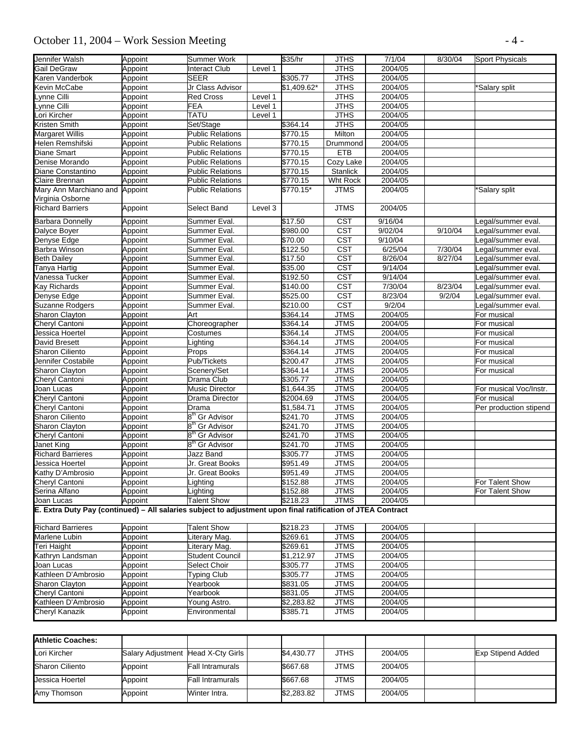# October 11, 2004 – Work Session Meeting - 4 -

| <b>JTHS</b><br>2004/05<br>Appoint<br>Interact Club<br>Level 1<br><b>SEER</b><br>\$305.77<br><b>JTHS</b><br>2004/05<br>Appoint<br><b>JTHS</b><br>2004/05<br><b>Kevin McCabe</b><br>Jr Class Advisor<br>\$1,409.62*<br>Appoint<br>*Salary split<br><b>JTHS</b><br>2004/05<br>ynne Cilli<br><b>Red Cross</b><br>Level 1<br>Appoint<br>ynne Cilli<br><b>FEA</b><br><b>JTHS</b><br>2004/05<br>Appoint<br>Level 1<br><b>JTHS</b><br>2004/05<br>ori Kircher<br><b>TATU</b><br>Appoint<br>Level 1<br><b>JTHS</b><br>2004/05<br>Set/Stage<br>\$364.14<br>Appoint<br>2004/05<br><b>Public Relations</b><br>\$770.15<br>Milton<br>Appoint<br>2004/05<br>Helen Remshifski<br><b>Public Relations</b><br>Appoint<br>\$770.15<br>Drummond<br>2004/05<br><b>Public Relations</b><br>\$770.15<br><b>ETB</b><br>Appoint<br>2004/05<br><b>Public Relations</b><br>\$770.15<br>Cozy Lake<br>Appoint<br>Stanlick<br>2004/05<br><b>Public Relations</b><br>\$770.15<br>Diane Constantino<br>Appoint<br>2004/05<br><b>Public Relations</b><br>\$770.15<br>Wht Rock<br>Appoint<br>2004/05<br>Mary Ann Marchiano and Appoint<br><b>Public Relations</b><br>\$770.15*<br><b>JTMS</b><br>'Salary split<br>Virginia Osborne<br><b>JTMS</b><br>2004/05<br>Appoint<br>Select Band<br>Level 3<br><b>CST</b><br>\$17.50<br>9/16/04<br>Appoint<br>Summer Eval.<br>Legal/summer eval.<br><b>CST</b><br>9/02/04<br>Dalyce Boyer<br>\$980.00<br>9/10/04<br>Legal/summer eval.<br>Appoint<br>Summer Eval.<br><b>CST</b><br>\$70.00<br>9/10/04<br>Appoint<br>Summer Eval.<br>Legal/summer eval.<br><b>CST</b><br>6/25/04<br>Summer Eval.<br>\$122.50<br>7/30/04<br>Appoint<br>Legal/summer eval.<br><b>CST</b><br>8/26/04<br>8/27/04<br>Summer Eval.<br>\$17.50<br>Legal/summer eval.<br>Appoint<br>$\overline{\text{CST}}$<br>9/14/04<br>Appoint<br>Summer Eval.<br>\$35.00<br>Legal/summer eval.<br>\$192.50<br><b>CST</b><br>9/14/04<br>Vanessa Tucker<br>Summer Eval.<br>Legal/summer eval.<br>Appoint<br>CST<br>7/30/04<br><b>Kay Richards</b><br>\$140.00<br>8/23/04<br>Legal/summer eval.<br>Appoint<br>Summer Eval.<br><b>CST</b><br>8/23/04<br>Legal/summer eval.<br>Denyse Edge<br>Appoint<br>Summer Eval.<br>\$525.00<br>9/2/04<br>$\overline{\text{CST}}$<br>9/2/04<br><b>Suzanne Rodgers</b><br>\$210.00<br>Appoint<br>Summer Eval.<br>Legal/summer eval.<br><b>JTMS</b><br>2004/05<br>Sharon Clayton<br>Art<br>\$364.14<br>Appoint<br>For musical<br>Appoint<br>Choreographer<br>\$364.14<br><b>JTMS</b><br>2004/05<br>Cheryl Cantoni<br>For musical<br><b>JTMS</b><br>2004/05<br>Jessica Hoertel<br>Appoint<br>\$364.14<br>For musical<br>Costumes<br>David Bresett<br><b>JTMS</b><br>2004/05<br>\$364.14<br>Appoint<br>_ighting<br>For musical<br><b>JTMS</b><br><b>Sharon Ciliento</b><br>2004/05<br>Appoint<br>Props<br>\$364.14<br>For musical<br><b>JTMS</b><br>2004/05<br>Jennifer Costabile<br>Pub/Tickets<br>\$200.47<br>Appoint<br>For musical<br><b>JTMS</b><br>\$364.14<br>2004/05<br><b>Sharon Clayton</b><br>Appoint<br>Scenery/Set<br>For musical<br><b>JTMS</b><br>Drama Club<br>\$305.77<br>2004/05<br>Cheryl Cantoni<br>Appoint<br><b>JTMS</b><br>2004/05<br><b>Music Director</b><br>\$1,644.35<br>Joan Lucas<br>Appoint<br>For musical Voc/Instr.<br>Cheryl Cantoni<br>Drama Director<br>\$2004.69<br><b>JTMS</b><br>2004/05<br>Appoint<br>For musical<br><b>JTMS</b><br>2004/05<br>Cheryl Cantoni<br>Appoint<br>\$1,584.71<br>Per production stipend<br>Drama<br>8 <sup>th</sup> Gr Advisor<br>\$241.70<br><b>JTMS</b><br>2004/05<br><b>Sharon Ciliento</b><br>Appoint<br>2004/05<br>8 <sup>th</sup> Gr Advisor<br>\$241.70<br><b>JTMS</b><br><b>Sharon Clayton</b><br>Appoint<br>2004/05<br>8 <sup>th</sup> Gr Advisor<br>\$241.70<br><b>JTMS</b><br>Cheryl Cantoni<br>Appoint<br>8 <sup>th</sup> Gr Advisor<br><b>JTMS</b><br>\$241.70<br>2004/05<br>Janet King<br>Appoint<br><b>Richard Barrieres</b><br>Jazz Band<br>\$305.77<br><b>JTMS</b><br>2004/05<br>Appoint<br>Jr. Great Books<br><b>JTMS</b><br>2004/05<br>\$951.49<br>Jessica Hoertel<br>Kathy D'Ambrosio<br>Appoint<br>\$951.49<br><b>JTMS</b><br>2004/05<br>Appoint<br>Jr. Great Books<br>Cheryl Cantoni<br>\$152.88<br><b>JTMS</b><br>For Talent Show<br>Appoint<br>2004/05<br>Lighting<br>Lighting<br>\$152.88<br><b>JTMS</b><br>2004/05<br>For Talent Show<br>Serina Alfano<br>Appoint<br><b>JTMS</b><br>Joan Lucas<br><b>Talent Show</b><br>\$218.23<br>Appoint<br>2004/05<br>E. Extra Duty Pay (continued) - All salaries subject to adjustment upon final ratification of JTEA Contract<br>\$218.23<br><b>JTMS</b><br>Appoint<br><b>Talent Show</b><br>2004/05<br>Appoint<br><b>JTMS</b><br>iterary Mag.<br>\$269.61<br>2004/05<br>\$269.61<br><b>JTMS</b><br>2004/05<br>Appoint<br>Literary Mag.<br>Kathryn Landsman<br>Student Council<br>$\overline{$1,212.97}$<br><b>JTMS</b><br>2004/05<br>Appoint<br><b>JTMS</b><br>2004/05<br>Appoint<br>Select Choir<br>\$305.77<br>Joan Lucas<br>Kathleen D'Ambrosio<br><b>Typing Club</b><br>\$305.77<br><b>JTMS</b><br>2004/05<br>Appoint<br>Sharon Clayton<br>\$831.05<br><b>JTMS</b><br>2004/05<br>Appoint<br>Yearbook<br><b>JTMS</b><br>2004/05<br>Appoint<br>Yearbook<br>\$831.05<br>Young Astro.<br><b>JTMS</b><br>2004/05<br>Appoint<br>\$2,283.82<br>\$385.71<br><b>JTMS</b><br>2004/05<br>Environmental<br>Appoint | Jennifer Walsh           | Appoint | <b>Summer Work</b> | \$35/hr | <b>JTHS</b> | 7/1/04 | 8/30/04 | <b>Sport Physicals</b> |
|------------------------------------------------------------------------------------------------------------------------------------------------------------------------------------------------------------------------------------------------------------------------------------------------------------------------------------------------------------------------------------------------------------------------------------------------------------------------------------------------------------------------------------------------------------------------------------------------------------------------------------------------------------------------------------------------------------------------------------------------------------------------------------------------------------------------------------------------------------------------------------------------------------------------------------------------------------------------------------------------------------------------------------------------------------------------------------------------------------------------------------------------------------------------------------------------------------------------------------------------------------------------------------------------------------------------------------------------------------------------------------------------------------------------------------------------------------------------------------------------------------------------------------------------------------------------------------------------------------------------------------------------------------------------------------------------------------------------------------------------------------------------------------------------------------------------------------------------------------------------------------------------------------------------------------------------------------------------------------------------------------------------------------------------------------------------------------------------------------------------------------------------------------------------------------------------------------------------------------------------------------------------------------------------------------------------------------------------------------------------------------------------------------------------------------------------------------------------------------------------------------------------------------------------------------------------------------------------------------------------------------------------------------------------------------------------------------------------------------------------------------------------------------------------------------------------------------------------------------------------------------------------------------------------------------------------------------------------------------------------------------------------------------------------------------------------------------------------------------------------------------------------------------------------------------------------------------------------------------------------------------------------------------------------------------------------------------------------------------------------------------------------------------------------------------------------------------------------------------------------------------------------------------------------------------------------------------------------------------------------------------------------------------------------------------------------------------------------------------------------------------------------------------------------------------------------------------------------------------------------------------------------------------------------------------------------------------------------------------------------------------------------------------------------------------------------------------------------------------------------------------------------------------------------------------------------------------------------------------------------------------------------------------------------------------------------------------------------------------------------------------------------------------------------------------------------------------------------------------------------------------------------------------------------------------------------------------------------------------------------------------------------------------------------------------------------------------------------------------------------------------------------------------------------------------------------------------------------------------------------------------------------------------------------------------------------------------------------------------------------------------------------------------------------------------------------------------------------------------------------------------------------------------------------------------------------------------------------------------------------------------------------------------------------------------------------------------------|--------------------------|---------|--------------------|---------|-------------|--------|---------|------------------------|
|                                                                                                                                                                                                                                                                                                                                                                                                                                                                                                                                                                                                                                                                                                                                                                                                                                                                                                                                                                                                                                                                                                                                                                                                                                                                                                                                                                                                                                                                                                                                                                                                                                                                                                                                                                                                                                                                                                                                                                                                                                                                                                                                                                                                                                                                                                                                                                                                                                                                                                                                                                                                                                                                                                                                                                                                                                                                                                                                                                                                                                                                                                                                                                                                                                                                                                                                                                                                                                                                                                                                                                                                                                                                                                                                                                                                                                                                                                                                                                                                                                                                                                                                                                                                                                                                                                                                                                                                                                                                                                                                                                                                                                                                                                                                                                                                                                                                                                                                                                                                                                                                                                                                                                                                                                                                                                                                          | Gail DeGraw              |         |                    |         |             |        |         |                        |
|                                                                                                                                                                                                                                                                                                                                                                                                                                                                                                                                                                                                                                                                                                                                                                                                                                                                                                                                                                                                                                                                                                                                                                                                                                                                                                                                                                                                                                                                                                                                                                                                                                                                                                                                                                                                                                                                                                                                                                                                                                                                                                                                                                                                                                                                                                                                                                                                                                                                                                                                                                                                                                                                                                                                                                                                                                                                                                                                                                                                                                                                                                                                                                                                                                                                                                                                                                                                                                                                                                                                                                                                                                                                                                                                                                                                                                                                                                                                                                                                                                                                                                                                                                                                                                                                                                                                                                                                                                                                                                                                                                                                                                                                                                                                                                                                                                                                                                                                                                                                                                                                                                                                                                                                                                                                                                                                          | Karen Vanderbok          |         |                    |         |             |        |         |                        |
|                                                                                                                                                                                                                                                                                                                                                                                                                                                                                                                                                                                                                                                                                                                                                                                                                                                                                                                                                                                                                                                                                                                                                                                                                                                                                                                                                                                                                                                                                                                                                                                                                                                                                                                                                                                                                                                                                                                                                                                                                                                                                                                                                                                                                                                                                                                                                                                                                                                                                                                                                                                                                                                                                                                                                                                                                                                                                                                                                                                                                                                                                                                                                                                                                                                                                                                                                                                                                                                                                                                                                                                                                                                                                                                                                                                                                                                                                                                                                                                                                                                                                                                                                                                                                                                                                                                                                                                                                                                                                                                                                                                                                                                                                                                                                                                                                                                                                                                                                                                                                                                                                                                                                                                                                                                                                                                                          |                          |         |                    |         |             |        |         |                        |
|                                                                                                                                                                                                                                                                                                                                                                                                                                                                                                                                                                                                                                                                                                                                                                                                                                                                                                                                                                                                                                                                                                                                                                                                                                                                                                                                                                                                                                                                                                                                                                                                                                                                                                                                                                                                                                                                                                                                                                                                                                                                                                                                                                                                                                                                                                                                                                                                                                                                                                                                                                                                                                                                                                                                                                                                                                                                                                                                                                                                                                                                                                                                                                                                                                                                                                                                                                                                                                                                                                                                                                                                                                                                                                                                                                                                                                                                                                                                                                                                                                                                                                                                                                                                                                                                                                                                                                                                                                                                                                                                                                                                                                                                                                                                                                                                                                                                                                                                                                                                                                                                                                                                                                                                                                                                                                                                          |                          |         |                    |         |             |        |         |                        |
|                                                                                                                                                                                                                                                                                                                                                                                                                                                                                                                                                                                                                                                                                                                                                                                                                                                                                                                                                                                                                                                                                                                                                                                                                                                                                                                                                                                                                                                                                                                                                                                                                                                                                                                                                                                                                                                                                                                                                                                                                                                                                                                                                                                                                                                                                                                                                                                                                                                                                                                                                                                                                                                                                                                                                                                                                                                                                                                                                                                                                                                                                                                                                                                                                                                                                                                                                                                                                                                                                                                                                                                                                                                                                                                                                                                                                                                                                                                                                                                                                                                                                                                                                                                                                                                                                                                                                                                                                                                                                                                                                                                                                                                                                                                                                                                                                                                                                                                                                                                                                                                                                                                                                                                                                                                                                                                                          |                          |         |                    |         |             |        |         |                        |
|                                                                                                                                                                                                                                                                                                                                                                                                                                                                                                                                                                                                                                                                                                                                                                                                                                                                                                                                                                                                                                                                                                                                                                                                                                                                                                                                                                                                                                                                                                                                                                                                                                                                                                                                                                                                                                                                                                                                                                                                                                                                                                                                                                                                                                                                                                                                                                                                                                                                                                                                                                                                                                                                                                                                                                                                                                                                                                                                                                                                                                                                                                                                                                                                                                                                                                                                                                                                                                                                                                                                                                                                                                                                                                                                                                                                                                                                                                                                                                                                                                                                                                                                                                                                                                                                                                                                                                                                                                                                                                                                                                                                                                                                                                                                                                                                                                                                                                                                                                                                                                                                                                                                                                                                                                                                                                                                          |                          |         |                    |         |             |        |         |                        |
|                                                                                                                                                                                                                                                                                                                                                                                                                                                                                                                                                                                                                                                                                                                                                                                                                                                                                                                                                                                                                                                                                                                                                                                                                                                                                                                                                                                                                                                                                                                                                                                                                                                                                                                                                                                                                                                                                                                                                                                                                                                                                                                                                                                                                                                                                                                                                                                                                                                                                                                                                                                                                                                                                                                                                                                                                                                                                                                                                                                                                                                                                                                                                                                                                                                                                                                                                                                                                                                                                                                                                                                                                                                                                                                                                                                                                                                                                                                                                                                                                                                                                                                                                                                                                                                                                                                                                                                                                                                                                                                                                                                                                                                                                                                                                                                                                                                                                                                                                                                                                                                                                                                                                                                                                                                                                                                                          | Kristen Smith            |         |                    |         |             |        |         |                        |
|                                                                                                                                                                                                                                                                                                                                                                                                                                                                                                                                                                                                                                                                                                                                                                                                                                                                                                                                                                                                                                                                                                                                                                                                                                                                                                                                                                                                                                                                                                                                                                                                                                                                                                                                                                                                                                                                                                                                                                                                                                                                                                                                                                                                                                                                                                                                                                                                                                                                                                                                                                                                                                                                                                                                                                                                                                                                                                                                                                                                                                                                                                                                                                                                                                                                                                                                                                                                                                                                                                                                                                                                                                                                                                                                                                                                                                                                                                                                                                                                                                                                                                                                                                                                                                                                                                                                                                                                                                                                                                                                                                                                                                                                                                                                                                                                                                                                                                                                                                                                                                                                                                                                                                                                                                                                                                                                          | <b>Margaret Willis</b>   |         |                    |         |             |        |         |                        |
|                                                                                                                                                                                                                                                                                                                                                                                                                                                                                                                                                                                                                                                                                                                                                                                                                                                                                                                                                                                                                                                                                                                                                                                                                                                                                                                                                                                                                                                                                                                                                                                                                                                                                                                                                                                                                                                                                                                                                                                                                                                                                                                                                                                                                                                                                                                                                                                                                                                                                                                                                                                                                                                                                                                                                                                                                                                                                                                                                                                                                                                                                                                                                                                                                                                                                                                                                                                                                                                                                                                                                                                                                                                                                                                                                                                                                                                                                                                                                                                                                                                                                                                                                                                                                                                                                                                                                                                                                                                                                                                                                                                                                                                                                                                                                                                                                                                                                                                                                                                                                                                                                                                                                                                                                                                                                                                                          |                          |         |                    |         |             |        |         |                        |
|                                                                                                                                                                                                                                                                                                                                                                                                                                                                                                                                                                                                                                                                                                                                                                                                                                                                                                                                                                                                                                                                                                                                                                                                                                                                                                                                                                                                                                                                                                                                                                                                                                                                                                                                                                                                                                                                                                                                                                                                                                                                                                                                                                                                                                                                                                                                                                                                                                                                                                                                                                                                                                                                                                                                                                                                                                                                                                                                                                                                                                                                                                                                                                                                                                                                                                                                                                                                                                                                                                                                                                                                                                                                                                                                                                                                                                                                                                                                                                                                                                                                                                                                                                                                                                                                                                                                                                                                                                                                                                                                                                                                                                                                                                                                                                                                                                                                                                                                                                                                                                                                                                                                                                                                                                                                                                                                          | <b>Diane Smart</b>       |         |                    |         |             |        |         |                        |
|                                                                                                                                                                                                                                                                                                                                                                                                                                                                                                                                                                                                                                                                                                                                                                                                                                                                                                                                                                                                                                                                                                                                                                                                                                                                                                                                                                                                                                                                                                                                                                                                                                                                                                                                                                                                                                                                                                                                                                                                                                                                                                                                                                                                                                                                                                                                                                                                                                                                                                                                                                                                                                                                                                                                                                                                                                                                                                                                                                                                                                                                                                                                                                                                                                                                                                                                                                                                                                                                                                                                                                                                                                                                                                                                                                                                                                                                                                                                                                                                                                                                                                                                                                                                                                                                                                                                                                                                                                                                                                                                                                                                                                                                                                                                                                                                                                                                                                                                                                                                                                                                                                                                                                                                                                                                                                                                          | Denise Morando           |         |                    |         |             |        |         |                        |
|                                                                                                                                                                                                                                                                                                                                                                                                                                                                                                                                                                                                                                                                                                                                                                                                                                                                                                                                                                                                                                                                                                                                                                                                                                                                                                                                                                                                                                                                                                                                                                                                                                                                                                                                                                                                                                                                                                                                                                                                                                                                                                                                                                                                                                                                                                                                                                                                                                                                                                                                                                                                                                                                                                                                                                                                                                                                                                                                                                                                                                                                                                                                                                                                                                                                                                                                                                                                                                                                                                                                                                                                                                                                                                                                                                                                                                                                                                                                                                                                                                                                                                                                                                                                                                                                                                                                                                                                                                                                                                                                                                                                                                                                                                                                                                                                                                                                                                                                                                                                                                                                                                                                                                                                                                                                                                                                          |                          |         |                    |         |             |        |         |                        |
|                                                                                                                                                                                                                                                                                                                                                                                                                                                                                                                                                                                                                                                                                                                                                                                                                                                                                                                                                                                                                                                                                                                                                                                                                                                                                                                                                                                                                                                                                                                                                                                                                                                                                                                                                                                                                                                                                                                                                                                                                                                                                                                                                                                                                                                                                                                                                                                                                                                                                                                                                                                                                                                                                                                                                                                                                                                                                                                                                                                                                                                                                                                                                                                                                                                                                                                                                                                                                                                                                                                                                                                                                                                                                                                                                                                                                                                                                                                                                                                                                                                                                                                                                                                                                                                                                                                                                                                                                                                                                                                                                                                                                                                                                                                                                                                                                                                                                                                                                                                                                                                                                                                                                                                                                                                                                                                                          | Claire Brennan           |         |                    |         |             |        |         |                        |
|                                                                                                                                                                                                                                                                                                                                                                                                                                                                                                                                                                                                                                                                                                                                                                                                                                                                                                                                                                                                                                                                                                                                                                                                                                                                                                                                                                                                                                                                                                                                                                                                                                                                                                                                                                                                                                                                                                                                                                                                                                                                                                                                                                                                                                                                                                                                                                                                                                                                                                                                                                                                                                                                                                                                                                                                                                                                                                                                                                                                                                                                                                                                                                                                                                                                                                                                                                                                                                                                                                                                                                                                                                                                                                                                                                                                                                                                                                                                                                                                                                                                                                                                                                                                                                                                                                                                                                                                                                                                                                                                                                                                                                                                                                                                                                                                                                                                                                                                                                                                                                                                                                                                                                                                                                                                                                                                          |                          |         |                    |         |             |        |         |                        |
|                                                                                                                                                                                                                                                                                                                                                                                                                                                                                                                                                                                                                                                                                                                                                                                                                                                                                                                                                                                                                                                                                                                                                                                                                                                                                                                                                                                                                                                                                                                                                                                                                                                                                                                                                                                                                                                                                                                                                                                                                                                                                                                                                                                                                                                                                                                                                                                                                                                                                                                                                                                                                                                                                                                                                                                                                                                                                                                                                                                                                                                                                                                                                                                                                                                                                                                                                                                                                                                                                                                                                                                                                                                                                                                                                                                                                                                                                                                                                                                                                                                                                                                                                                                                                                                                                                                                                                                                                                                                                                                                                                                                                                                                                                                                                                                                                                                                                                                                                                                                                                                                                                                                                                                                                                                                                                                                          | <b>Richard Barriers</b>  |         |                    |         |             |        |         |                        |
|                                                                                                                                                                                                                                                                                                                                                                                                                                                                                                                                                                                                                                                                                                                                                                                                                                                                                                                                                                                                                                                                                                                                                                                                                                                                                                                                                                                                                                                                                                                                                                                                                                                                                                                                                                                                                                                                                                                                                                                                                                                                                                                                                                                                                                                                                                                                                                                                                                                                                                                                                                                                                                                                                                                                                                                                                                                                                                                                                                                                                                                                                                                                                                                                                                                                                                                                                                                                                                                                                                                                                                                                                                                                                                                                                                                                                                                                                                                                                                                                                                                                                                                                                                                                                                                                                                                                                                                                                                                                                                                                                                                                                                                                                                                                                                                                                                                                                                                                                                                                                                                                                                                                                                                                                                                                                                                                          | Barbara Donnelly         |         |                    |         |             |        |         |                        |
|                                                                                                                                                                                                                                                                                                                                                                                                                                                                                                                                                                                                                                                                                                                                                                                                                                                                                                                                                                                                                                                                                                                                                                                                                                                                                                                                                                                                                                                                                                                                                                                                                                                                                                                                                                                                                                                                                                                                                                                                                                                                                                                                                                                                                                                                                                                                                                                                                                                                                                                                                                                                                                                                                                                                                                                                                                                                                                                                                                                                                                                                                                                                                                                                                                                                                                                                                                                                                                                                                                                                                                                                                                                                                                                                                                                                                                                                                                                                                                                                                                                                                                                                                                                                                                                                                                                                                                                                                                                                                                                                                                                                                                                                                                                                                                                                                                                                                                                                                                                                                                                                                                                                                                                                                                                                                                                                          |                          |         |                    |         |             |        |         |                        |
|                                                                                                                                                                                                                                                                                                                                                                                                                                                                                                                                                                                                                                                                                                                                                                                                                                                                                                                                                                                                                                                                                                                                                                                                                                                                                                                                                                                                                                                                                                                                                                                                                                                                                                                                                                                                                                                                                                                                                                                                                                                                                                                                                                                                                                                                                                                                                                                                                                                                                                                                                                                                                                                                                                                                                                                                                                                                                                                                                                                                                                                                                                                                                                                                                                                                                                                                                                                                                                                                                                                                                                                                                                                                                                                                                                                                                                                                                                                                                                                                                                                                                                                                                                                                                                                                                                                                                                                                                                                                                                                                                                                                                                                                                                                                                                                                                                                                                                                                                                                                                                                                                                                                                                                                                                                                                                                                          | Denyse Edge              |         |                    |         |             |        |         |                        |
|                                                                                                                                                                                                                                                                                                                                                                                                                                                                                                                                                                                                                                                                                                                                                                                                                                                                                                                                                                                                                                                                                                                                                                                                                                                                                                                                                                                                                                                                                                                                                                                                                                                                                                                                                                                                                                                                                                                                                                                                                                                                                                                                                                                                                                                                                                                                                                                                                                                                                                                                                                                                                                                                                                                                                                                                                                                                                                                                                                                                                                                                                                                                                                                                                                                                                                                                                                                                                                                                                                                                                                                                                                                                                                                                                                                                                                                                                                                                                                                                                                                                                                                                                                                                                                                                                                                                                                                                                                                                                                                                                                                                                                                                                                                                                                                                                                                                                                                                                                                                                                                                                                                                                                                                                                                                                                                                          | Barbra Winson            |         |                    |         |             |        |         |                        |
|                                                                                                                                                                                                                                                                                                                                                                                                                                                                                                                                                                                                                                                                                                                                                                                                                                                                                                                                                                                                                                                                                                                                                                                                                                                                                                                                                                                                                                                                                                                                                                                                                                                                                                                                                                                                                                                                                                                                                                                                                                                                                                                                                                                                                                                                                                                                                                                                                                                                                                                                                                                                                                                                                                                                                                                                                                                                                                                                                                                                                                                                                                                                                                                                                                                                                                                                                                                                                                                                                                                                                                                                                                                                                                                                                                                                                                                                                                                                                                                                                                                                                                                                                                                                                                                                                                                                                                                                                                                                                                                                                                                                                                                                                                                                                                                                                                                                                                                                                                                                                                                                                                                                                                                                                                                                                                                                          | <b>Beth Dailey</b>       |         |                    |         |             |        |         |                        |
|                                                                                                                                                                                                                                                                                                                                                                                                                                                                                                                                                                                                                                                                                                                                                                                                                                                                                                                                                                                                                                                                                                                                                                                                                                                                                                                                                                                                                                                                                                                                                                                                                                                                                                                                                                                                                                                                                                                                                                                                                                                                                                                                                                                                                                                                                                                                                                                                                                                                                                                                                                                                                                                                                                                                                                                                                                                                                                                                                                                                                                                                                                                                                                                                                                                                                                                                                                                                                                                                                                                                                                                                                                                                                                                                                                                                                                                                                                                                                                                                                                                                                                                                                                                                                                                                                                                                                                                                                                                                                                                                                                                                                                                                                                                                                                                                                                                                                                                                                                                                                                                                                                                                                                                                                                                                                                                                          | Tanya Hartig             |         |                    |         |             |        |         |                        |
|                                                                                                                                                                                                                                                                                                                                                                                                                                                                                                                                                                                                                                                                                                                                                                                                                                                                                                                                                                                                                                                                                                                                                                                                                                                                                                                                                                                                                                                                                                                                                                                                                                                                                                                                                                                                                                                                                                                                                                                                                                                                                                                                                                                                                                                                                                                                                                                                                                                                                                                                                                                                                                                                                                                                                                                                                                                                                                                                                                                                                                                                                                                                                                                                                                                                                                                                                                                                                                                                                                                                                                                                                                                                                                                                                                                                                                                                                                                                                                                                                                                                                                                                                                                                                                                                                                                                                                                                                                                                                                                                                                                                                                                                                                                                                                                                                                                                                                                                                                                                                                                                                                                                                                                                                                                                                                                                          |                          |         |                    |         |             |        |         |                        |
|                                                                                                                                                                                                                                                                                                                                                                                                                                                                                                                                                                                                                                                                                                                                                                                                                                                                                                                                                                                                                                                                                                                                                                                                                                                                                                                                                                                                                                                                                                                                                                                                                                                                                                                                                                                                                                                                                                                                                                                                                                                                                                                                                                                                                                                                                                                                                                                                                                                                                                                                                                                                                                                                                                                                                                                                                                                                                                                                                                                                                                                                                                                                                                                                                                                                                                                                                                                                                                                                                                                                                                                                                                                                                                                                                                                                                                                                                                                                                                                                                                                                                                                                                                                                                                                                                                                                                                                                                                                                                                                                                                                                                                                                                                                                                                                                                                                                                                                                                                                                                                                                                                                                                                                                                                                                                                                                          |                          |         |                    |         |             |        |         |                        |
|                                                                                                                                                                                                                                                                                                                                                                                                                                                                                                                                                                                                                                                                                                                                                                                                                                                                                                                                                                                                                                                                                                                                                                                                                                                                                                                                                                                                                                                                                                                                                                                                                                                                                                                                                                                                                                                                                                                                                                                                                                                                                                                                                                                                                                                                                                                                                                                                                                                                                                                                                                                                                                                                                                                                                                                                                                                                                                                                                                                                                                                                                                                                                                                                                                                                                                                                                                                                                                                                                                                                                                                                                                                                                                                                                                                                                                                                                                                                                                                                                                                                                                                                                                                                                                                                                                                                                                                                                                                                                                                                                                                                                                                                                                                                                                                                                                                                                                                                                                                                                                                                                                                                                                                                                                                                                                                                          |                          |         |                    |         |             |        |         |                        |
|                                                                                                                                                                                                                                                                                                                                                                                                                                                                                                                                                                                                                                                                                                                                                                                                                                                                                                                                                                                                                                                                                                                                                                                                                                                                                                                                                                                                                                                                                                                                                                                                                                                                                                                                                                                                                                                                                                                                                                                                                                                                                                                                                                                                                                                                                                                                                                                                                                                                                                                                                                                                                                                                                                                                                                                                                                                                                                                                                                                                                                                                                                                                                                                                                                                                                                                                                                                                                                                                                                                                                                                                                                                                                                                                                                                                                                                                                                                                                                                                                                                                                                                                                                                                                                                                                                                                                                                                                                                                                                                                                                                                                                                                                                                                                                                                                                                                                                                                                                                                                                                                                                                                                                                                                                                                                                                                          |                          |         |                    |         |             |        |         |                        |
|                                                                                                                                                                                                                                                                                                                                                                                                                                                                                                                                                                                                                                                                                                                                                                                                                                                                                                                                                                                                                                                                                                                                                                                                                                                                                                                                                                                                                                                                                                                                                                                                                                                                                                                                                                                                                                                                                                                                                                                                                                                                                                                                                                                                                                                                                                                                                                                                                                                                                                                                                                                                                                                                                                                                                                                                                                                                                                                                                                                                                                                                                                                                                                                                                                                                                                                                                                                                                                                                                                                                                                                                                                                                                                                                                                                                                                                                                                                                                                                                                                                                                                                                                                                                                                                                                                                                                                                                                                                                                                                                                                                                                                                                                                                                                                                                                                                                                                                                                                                                                                                                                                                                                                                                                                                                                                                                          |                          |         |                    |         |             |        |         |                        |
|                                                                                                                                                                                                                                                                                                                                                                                                                                                                                                                                                                                                                                                                                                                                                                                                                                                                                                                                                                                                                                                                                                                                                                                                                                                                                                                                                                                                                                                                                                                                                                                                                                                                                                                                                                                                                                                                                                                                                                                                                                                                                                                                                                                                                                                                                                                                                                                                                                                                                                                                                                                                                                                                                                                                                                                                                                                                                                                                                                                                                                                                                                                                                                                                                                                                                                                                                                                                                                                                                                                                                                                                                                                                                                                                                                                                                                                                                                                                                                                                                                                                                                                                                                                                                                                                                                                                                                                                                                                                                                                                                                                                                                                                                                                                                                                                                                                                                                                                                                                                                                                                                                                                                                                                                                                                                                                                          |                          |         |                    |         |             |        |         |                        |
|                                                                                                                                                                                                                                                                                                                                                                                                                                                                                                                                                                                                                                                                                                                                                                                                                                                                                                                                                                                                                                                                                                                                                                                                                                                                                                                                                                                                                                                                                                                                                                                                                                                                                                                                                                                                                                                                                                                                                                                                                                                                                                                                                                                                                                                                                                                                                                                                                                                                                                                                                                                                                                                                                                                                                                                                                                                                                                                                                                                                                                                                                                                                                                                                                                                                                                                                                                                                                                                                                                                                                                                                                                                                                                                                                                                                                                                                                                                                                                                                                                                                                                                                                                                                                                                                                                                                                                                                                                                                                                                                                                                                                                                                                                                                                                                                                                                                                                                                                                                                                                                                                                                                                                                                                                                                                                                                          |                          |         |                    |         |             |        |         |                        |
|                                                                                                                                                                                                                                                                                                                                                                                                                                                                                                                                                                                                                                                                                                                                                                                                                                                                                                                                                                                                                                                                                                                                                                                                                                                                                                                                                                                                                                                                                                                                                                                                                                                                                                                                                                                                                                                                                                                                                                                                                                                                                                                                                                                                                                                                                                                                                                                                                                                                                                                                                                                                                                                                                                                                                                                                                                                                                                                                                                                                                                                                                                                                                                                                                                                                                                                                                                                                                                                                                                                                                                                                                                                                                                                                                                                                                                                                                                                                                                                                                                                                                                                                                                                                                                                                                                                                                                                                                                                                                                                                                                                                                                                                                                                                                                                                                                                                                                                                                                                                                                                                                                                                                                                                                                                                                                                                          |                          |         |                    |         |             |        |         |                        |
|                                                                                                                                                                                                                                                                                                                                                                                                                                                                                                                                                                                                                                                                                                                                                                                                                                                                                                                                                                                                                                                                                                                                                                                                                                                                                                                                                                                                                                                                                                                                                                                                                                                                                                                                                                                                                                                                                                                                                                                                                                                                                                                                                                                                                                                                                                                                                                                                                                                                                                                                                                                                                                                                                                                                                                                                                                                                                                                                                                                                                                                                                                                                                                                                                                                                                                                                                                                                                                                                                                                                                                                                                                                                                                                                                                                                                                                                                                                                                                                                                                                                                                                                                                                                                                                                                                                                                                                                                                                                                                                                                                                                                                                                                                                                                                                                                                                                                                                                                                                                                                                                                                                                                                                                                                                                                                                                          |                          |         |                    |         |             |        |         |                        |
|                                                                                                                                                                                                                                                                                                                                                                                                                                                                                                                                                                                                                                                                                                                                                                                                                                                                                                                                                                                                                                                                                                                                                                                                                                                                                                                                                                                                                                                                                                                                                                                                                                                                                                                                                                                                                                                                                                                                                                                                                                                                                                                                                                                                                                                                                                                                                                                                                                                                                                                                                                                                                                                                                                                                                                                                                                                                                                                                                                                                                                                                                                                                                                                                                                                                                                                                                                                                                                                                                                                                                                                                                                                                                                                                                                                                                                                                                                                                                                                                                                                                                                                                                                                                                                                                                                                                                                                                                                                                                                                                                                                                                                                                                                                                                                                                                                                                                                                                                                                                                                                                                                                                                                                                                                                                                                                                          |                          |         |                    |         |             |        |         |                        |
|                                                                                                                                                                                                                                                                                                                                                                                                                                                                                                                                                                                                                                                                                                                                                                                                                                                                                                                                                                                                                                                                                                                                                                                                                                                                                                                                                                                                                                                                                                                                                                                                                                                                                                                                                                                                                                                                                                                                                                                                                                                                                                                                                                                                                                                                                                                                                                                                                                                                                                                                                                                                                                                                                                                                                                                                                                                                                                                                                                                                                                                                                                                                                                                                                                                                                                                                                                                                                                                                                                                                                                                                                                                                                                                                                                                                                                                                                                                                                                                                                                                                                                                                                                                                                                                                                                                                                                                                                                                                                                                                                                                                                                                                                                                                                                                                                                                                                                                                                                                                                                                                                                                                                                                                                                                                                                                                          |                          |         |                    |         |             |        |         |                        |
|                                                                                                                                                                                                                                                                                                                                                                                                                                                                                                                                                                                                                                                                                                                                                                                                                                                                                                                                                                                                                                                                                                                                                                                                                                                                                                                                                                                                                                                                                                                                                                                                                                                                                                                                                                                                                                                                                                                                                                                                                                                                                                                                                                                                                                                                                                                                                                                                                                                                                                                                                                                                                                                                                                                                                                                                                                                                                                                                                                                                                                                                                                                                                                                                                                                                                                                                                                                                                                                                                                                                                                                                                                                                                                                                                                                                                                                                                                                                                                                                                                                                                                                                                                                                                                                                                                                                                                                                                                                                                                                                                                                                                                                                                                                                                                                                                                                                                                                                                                                                                                                                                                                                                                                                                                                                                                                                          |                          |         |                    |         |             |        |         |                        |
|                                                                                                                                                                                                                                                                                                                                                                                                                                                                                                                                                                                                                                                                                                                                                                                                                                                                                                                                                                                                                                                                                                                                                                                                                                                                                                                                                                                                                                                                                                                                                                                                                                                                                                                                                                                                                                                                                                                                                                                                                                                                                                                                                                                                                                                                                                                                                                                                                                                                                                                                                                                                                                                                                                                                                                                                                                                                                                                                                                                                                                                                                                                                                                                                                                                                                                                                                                                                                                                                                                                                                                                                                                                                                                                                                                                                                                                                                                                                                                                                                                                                                                                                                                                                                                                                                                                                                                                                                                                                                                                                                                                                                                                                                                                                                                                                                                                                                                                                                                                                                                                                                                                                                                                                                                                                                                                                          |                          |         |                    |         |             |        |         |                        |
|                                                                                                                                                                                                                                                                                                                                                                                                                                                                                                                                                                                                                                                                                                                                                                                                                                                                                                                                                                                                                                                                                                                                                                                                                                                                                                                                                                                                                                                                                                                                                                                                                                                                                                                                                                                                                                                                                                                                                                                                                                                                                                                                                                                                                                                                                                                                                                                                                                                                                                                                                                                                                                                                                                                                                                                                                                                                                                                                                                                                                                                                                                                                                                                                                                                                                                                                                                                                                                                                                                                                                                                                                                                                                                                                                                                                                                                                                                                                                                                                                                                                                                                                                                                                                                                                                                                                                                                                                                                                                                                                                                                                                                                                                                                                                                                                                                                                                                                                                                                                                                                                                                                                                                                                                                                                                                                                          |                          |         |                    |         |             |        |         |                        |
|                                                                                                                                                                                                                                                                                                                                                                                                                                                                                                                                                                                                                                                                                                                                                                                                                                                                                                                                                                                                                                                                                                                                                                                                                                                                                                                                                                                                                                                                                                                                                                                                                                                                                                                                                                                                                                                                                                                                                                                                                                                                                                                                                                                                                                                                                                                                                                                                                                                                                                                                                                                                                                                                                                                                                                                                                                                                                                                                                                                                                                                                                                                                                                                                                                                                                                                                                                                                                                                                                                                                                                                                                                                                                                                                                                                                                                                                                                                                                                                                                                                                                                                                                                                                                                                                                                                                                                                                                                                                                                                                                                                                                                                                                                                                                                                                                                                                                                                                                                                                                                                                                                                                                                                                                                                                                                                                          |                          |         |                    |         |             |        |         |                        |
|                                                                                                                                                                                                                                                                                                                                                                                                                                                                                                                                                                                                                                                                                                                                                                                                                                                                                                                                                                                                                                                                                                                                                                                                                                                                                                                                                                                                                                                                                                                                                                                                                                                                                                                                                                                                                                                                                                                                                                                                                                                                                                                                                                                                                                                                                                                                                                                                                                                                                                                                                                                                                                                                                                                                                                                                                                                                                                                                                                                                                                                                                                                                                                                                                                                                                                                                                                                                                                                                                                                                                                                                                                                                                                                                                                                                                                                                                                                                                                                                                                                                                                                                                                                                                                                                                                                                                                                                                                                                                                                                                                                                                                                                                                                                                                                                                                                                                                                                                                                                                                                                                                                                                                                                                                                                                                                                          |                          |         |                    |         |             |        |         |                        |
|                                                                                                                                                                                                                                                                                                                                                                                                                                                                                                                                                                                                                                                                                                                                                                                                                                                                                                                                                                                                                                                                                                                                                                                                                                                                                                                                                                                                                                                                                                                                                                                                                                                                                                                                                                                                                                                                                                                                                                                                                                                                                                                                                                                                                                                                                                                                                                                                                                                                                                                                                                                                                                                                                                                                                                                                                                                                                                                                                                                                                                                                                                                                                                                                                                                                                                                                                                                                                                                                                                                                                                                                                                                                                                                                                                                                                                                                                                                                                                                                                                                                                                                                                                                                                                                                                                                                                                                                                                                                                                                                                                                                                                                                                                                                                                                                                                                                                                                                                                                                                                                                                                                                                                                                                                                                                                                                          |                          |         |                    |         |             |        |         |                        |
|                                                                                                                                                                                                                                                                                                                                                                                                                                                                                                                                                                                                                                                                                                                                                                                                                                                                                                                                                                                                                                                                                                                                                                                                                                                                                                                                                                                                                                                                                                                                                                                                                                                                                                                                                                                                                                                                                                                                                                                                                                                                                                                                                                                                                                                                                                                                                                                                                                                                                                                                                                                                                                                                                                                                                                                                                                                                                                                                                                                                                                                                                                                                                                                                                                                                                                                                                                                                                                                                                                                                                                                                                                                                                                                                                                                                                                                                                                                                                                                                                                                                                                                                                                                                                                                                                                                                                                                                                                                                                                                                                                                                                                                                                                                                                                                                                                                                                                                                                                                                                                                                                                                                                                                                                                                                                                                                          |                          |         |                    |         |             |        |         |                        |
|                                                                                                                                                                                                                                                                                                                                                                                                                                                                                                                                                                                                                                                                                                                                                                                                                                                                                                                                                                                                                                                                                                                                                                                                                                                                                                                                                                                                                                                                                                                                                                                                                                                                                                                                                                                                                                                                                                                                                                                                                                                                                                                                                                                                                                                                                                                                                                                                                                                                                                                                                                                                                                                                                                                                                                                                                                                                                                                                                                                                                                                                                                                                                                                                                                                                                                                                                                                                                                                                                                                                                                                                                                                                                                                                                                                                                                                                                                                                                                                                                                                                                                                                                                                                                                                                                                                                                                                                                                                                                                                                                                                                                                                                                                                                                                                                                                                                                                                                                                                                                                                                                                                                                                                                                                                                                                                                          |                          |         |                    |         |             |        |         |                        |
|                                                                                                                                                                                                                                                                                                                                                                                                                                                                                                                                                                                                                                                                                                                                                                                                                                                                                                                                                                                                                                                                                                                                                                                                                                                                                                                                                                                                                                                                                                                                                                                                                                                                                                                                                                                                                                                                                                                                                                                                                                                                                                                                                                                                                                                                                                                                                                                                                                                                                                                                                                                                                                                                                                                                                                                                                                                                                                                                                                                                                                                                                                                                                                                                                                                                                                                                                                                                                                                                                                                                                                                                                                                                                                                                                                                                                                                                                                                                                                                                                                                                                                                                                                                                                                                                                                                                                                                                                                                                                                                                                                                                                                                                                                                                                                                                                                                                                                                                                                                                                                                                                                                                                                                                                                                                                                                                          |                          |         |                    |         |             |        |         |                        |
|                                                                                                                                                                                                                                                                                                                                                                                                                                                                                                                                                                                                                                                                                                                                                                                                                                                                                                                                                                                                                                                                                                                                                                                                                                                                                                                                                                                                                                                                                                                                                                                                                                                                                                                                                                                                                                                                                                                                                                                                                                                                                                                                                                                                                                                                                                                                                                                                                                                                                                                                                                                                                                                                                                                                                                                                                                                                                                                                                                                                                                                                                                                                                                                                                                                                                                                                                                                                                                                                                                                                                                                                                                                                                                                                                                                                                                                                                                                                                                                                                                                                                                                                                                                                                                                                                                                                                                                                                                                                                                                                                                                                                                                                                                                                                                                                                                                                                                                                                                                                                                                                                                                                                                                                                                                                                                                                          |                          |         |                    |         |             |        |         |                        |
|                                                                                                                                                                                                                                                                                                                                                                                                                                                                                                                                                                                                                                                                                                                                                                                                                                                                                                                                                                                                                                                                                                                                                                                                                                                                                                                                                                                                                                                                                                                                                                                                                                                                                                                                                                                                                                                                                                                                                                                                                                                                                                                                                                                                                                                                                                                                                                                                                                                                                                                                                                                                                                                                                                                                                                                                                                                                                                                                                                                                                                                                                                                                                                                                                                                                                                                                                                                                                                                                                                                                                                                                                                                                                                                                                                                                                                                                                                                                                                                                                                                                                                                                                                                                                                                                                                                                                                                                                                                                                                                                                                                                                                                                                                                                                                                                                                                                                                                                                                                                                                                                                                                                                                                                                                                                                                                                          |                          |         |                    |         |             |        |         |                        |
|                                                                                                                                                                                                                                                                                                                                                                                                                                                                                                                                                                                                                                                                                                                                                                                                                                                                                                                                                                                                                                                                                                                                                                                                                                                                                                                                                                                                                                                                                                                                                                                                                                                                                                                                                                                                                                                                                                                                                                                                                                                                                                                                                                                                                                                                                                                                                                                                                                                                                                                                                                                                                                                                                                                                                                                                                                                                                                                                                                                                                                                                                                                                                                                                                                                                                                                                                                                                                                                                                                                                                                                                                                                                                                                                                                                                                                                                                                                                                                                                                                                                                                                                                                                                                                                                                                                                                                                                                                                                                                                                                                                                                                                                                                                                                                                                                                                                                                                                                                                                                                                                                                                                                                                                                                                                                                                                          |                          |         |                    |         |             |        |         |                        |
|                                                                                                                                                                                                                                                                                                                                                                                                                                                                                                                                                                                                                                                                                                                                                                                                                                                                                                                                                                                                                                                                                                                                                                                                                                                                                                                                                                                                                                                                                                                                                                                                                                                                                                                                                                                                                                                                                                                                                                                                                                                                                                                                                                                                                                                                                                                                                                                                                                                                                                                                                                                                                                                                                                                                                                                                                                                                                                                                                                                                                                                                                                                                                                                                                                                                                                                                                                                                                                                                                                                                                                                                                                                                                                                                                                                                                                                                                                                                                                                                                                                                                                                                                                                                                                                                                                                                                                                                                                                                                                                                                                                                                                                                                                                                                                                                                                                                                                                                                                                                                                                                                                                                                                                                                                                                                                                                          |                          |         |                    |         |             |        |         |                        |
|                                                                                                                                                                                                                                                                                                                                                                                                                                                                                                                                                                                                                                                                                                                                                                                                                                                                                                                                                                                                                                                                                                                                                                                                                                                                                                                                                                                                                                                                                                                                                                                                                                                                                                                                                                                                                                                                                                                                                                                                                                                                                                                                                                                                                                                                                                                                                                                                                                                                                                                                                                                                                                                                                                                                                                                                                                                                                                                                                                                                                                                                                                                                                                                                                                                                                                                                                                                                                                                                                                                                                                                                                                                                                                                                                                                                                                                                                                                                                                                                                                                                                                                                                                                                                                                                                                                                                                                                                                                                                                                                                                                                                                                                                                                                                                                                                                                                                                                                                                                                                                                                                                                                                                                                                                                                                                                                          |                          |         |                    |         |             |        |         |                        |
|                                                                                                                                                                                                                                                                                                                                                                                                                                                                                                                                                                                                                                                                                                                                                                                                                                                                                                                                                                                                                                                                                                                                                                                                                                                                                                                                                                                                                                                                                                                                                                                                                                                                                                                                                                                                                                                                                                                                                                                                                                                                                                                                                                                                                                                                                                                                                                                                                                                                                                                                                                                                                                                                                                                                                                                                                                                                                                                                                                                                                                                                                                                                                                                                                                                                                                                                                                                                                                                                                                                                                                                                                                                                                                                                                                                                                                                                                                                                                                                                                                                                                                                                                                                                                                                                                                                                                                                                                                                                                                                                                                                                                                                                                                                                                                                                                                                                                                                                                                                                                                                                                                                                                                                                                                                                                                                                          |                          |         |                    |         |             |        |         |                        |
|                                                                                                                                                                                                                                                                                                                                                                                                                                                                                                                                                                                                                                                                                                                                                                                                                                                                                                                                                                                                                                                                                                                                                                                                                                                                                                                                                                                                                                                                                                                                                                                                                                                                                                                                                                                                                                                                                                                                                                                                                                                                                                                                                                                                                                                                                                                                                                                                                                                                                                                                                                                                                                                                                                                                                                                                                                                                                                                                                                                                                                                                                                                                                                                                                                                                                                                                                                                                                                                                                                                                                                                                                                                                                                                                                                                                                                                                                                                                                                                                                                                                                                                                                                                                                                                                                                                                                                                                                                                                                                                                                                                                                                                                                                                                                                                                                                                                                                                                                                                                                                                                                                                                                                                                                                                                                                                                          | <b>Richard Barrieres</b> |         |                    |         |             |        |         |                        |
|                                                                                                                                                                                                                                                                                                                                                                                                                                                                                                                                                                                                                                                                                                                                                                                                                                                                                                                                                                                                                                                                                                                                                                                                                                                                                                                                                                                                                                                                                                                                                                                                                                                                                                                                                                                                                                                                                                                                                                                                                                                                                                                                                                                                                                                                                                                                                                                                                                                                                                                                                                                                                                                                                                                                                                                                                                                                                                                                                                                                                                                                                                                                                                                                                                                                                                                                                                                                                                                                                                                                                                                                                                                                                                                                                                                                                                                                                                                                                                                                                                                                                                                                                                                                                                                                                                                                                                                                                                                                                                                                                                                                                                                                                                                                                                                                                                                                                                                                                                                                                                                                                                                                                                                                                                                                                                                                          | Marlene Lubin            |         |                    |         |             |        |         |                        |
|                                                                                                                                                                                                                                                                                                                                                                                                                                                                                                                                                                                                                                                                                                                                                                                                                                                                                                                                                                                                                                                                                                                                                                                                                                                                                                                                                                                                                                                                                                                                                                                                                                                                                                                                                                                                                                                                                                                                                                                                                                                                                                                                                                                                                                                                                                                                                                                                                                                                                                                                                                                                                                                                                                                                                                                                                                                                                                                                                                                                                                                                                                                                                                                                                                                                                                                                                                                                                                                                                                                                                                                                                                                                                                                                                                                                                                                                                                                                                                                                                                                                                                                                                                                                                                                                                                                                                                                                                                                                                                                                                                                                                                                                                                                                                                                                                                                                                                                                                                                                                                                                                                                                                                                                                                                                                                                                          | Teri Haight              |         |                    |         |             |        |         |                        |
|                                                                                                                                                                                                                                                                                                                                                                                                                                                                                                                                                                                                                                                                                                                                                                                                                                                                                                                                                                                                                                                                                                                                                                                                                                                                                                                                                                                                                                                                                                                                                                                                                                                                                                                                                                                                                                                                                                                                                                                                                                                                                                                                                                                                                                                                                                                                                                                                                                                                                                                                                                                                                                                                                                                                                                                                                                                                                                                                                                                                                                                                                                                                                                                                                                                                                                                                                                                                                                                                                                                                                                                                                                                                                                                                                                                                                                                                                                                                                                                                                                                                                                                                                                                                                                                                                                                                                                                                                                                                                                                                                                                                                                                                                                                                                                                                                                                                                                                                                                                                                                                                                                                                                                                                                                                                                                                                          |                          |         |                    |         |             |        |         |                        |
|                                                                                                                                                                                                                                                                                                                                                                                                                                                                                                                                                                                                                                                                                                                                                                                                                                                                                                                                                                                                                                                                                                                                                                                                                                                                                                                                                                                                                                                                                                                                                                                                                                                                                                                                                                                                                                                                                                                                                                                                                                                                                                                                                                                                                                                                                                                                                                                                                                                                                                                                                                                                                                                                                                                                                                                                                                                                                                                                                                                                                                                                                                                                                                                                                                                                                                                                                                                                                                                                                                                                                                                                                                                                                                                                                                                                                                                                                                                                                                                                                                                                                                                                                                                                                                                                                                                                                                                                                                                                                                                                                                                                                                                                                                                                                                                                                                                                                                                                                                                                                                                                                                                                                                                                                                                                                                                                          |                          |         |                    |         |             |        |         |                        |
|                                                                                                                                                                                                                                                                                                                                                                                                                                                                                                                                                                                                                                                                                                                                                                                                                                                                                                                                                                                                                                                                                                                                                                                                                                                                                                                                                                                                                                                                                                                                                                                                                                                                                                                                                                                                                                                                                                                                                                                                                                                                                                                                                                                                                                                                                                                                                                                                                                                                                                                                                                                                                                                                                                                                                                                                                                                                                                                                                                                                                                                                                                                                                                                                                                                                                                                                                                                                                                                                                                                                                                                                                                                                                                                                                                                                                                                                                                                                                                                                                                                                                                                                                                                                                                                                                                                                                                                                                                                                                                                                                                                                                                                                                                                                                                                                                                                                                                                                                                                                                                                                                                                                                                                                                                                                                                                                          |                          |         |                    |         |             |        |         |                        |
|                                                                                                                                                                                                                                                                                                                                                                                                                                                                                                                                                                                                                                                                                                                                                                                                                                                                                                                                                                                                                                                                                                                                                                                                                                                                                                                                                                                                                                                                                                                                                                                                                                                                                                                                                                                                                                                                                                                                                                                                                                                                                                                                                                                                                                                                                                                                                                                                                                                                                                                                                                                                                                                                                                                                                                                                                                                                                                                                                                                                                                                                                                                                                                                                                                                                                                                                                                                                                                                                                                                                                                                                                                                                                                                                                                                                                                                                                                                                                                                                                                                                                                                                                                                                                                                                                                                                                                                                                                                                                                                                                                                                                                                                                                                                                                                                                                                                                                                                                                                                                                                                                                                                                                                                                                                                                                                                          |                          |         |                    |         |             |        |         |                        |
|                                                                                                                                                                                                                                                                                                                                                                                                                                                                                                                                                                                                                                                                                                                                                                                                                                                                                                                                                                                                                                                                                                                                                                                                                                                                                                                                                                                                                                                                                                                                                                                                                                                                                                                                                                                                                                                                                                                                                                                                                                                                                                                                                                                                                                                                                                                                                                                                                                                                                                                                                                                                                                                                                                                                                                                                                                                                                                                                                                                                                                                                                                                                                                                                                                                                                                                                                                                                                                                                                                                                                                                                                                                                                                                                                                                                                                                                                                                                                                                                                                                                                                                                                                                                                                                                                                                                                                                                                                                                                                                                                                                                                                                                                                                                                                                                                                                                                                                                                                                                                                                                                                                                                                                                                                                                                                                                          | Cheryl Cantoni           |         |                    |         |             |        |         |                        |
|                                                                                                                                                                                                                                                                                                                                                                                                                                                                                                                                                                                                                                                                                                                                                                                                                                                                                                                                                                                                                                                                                                                                                                                                                                                                                                                                                                                                                                                                                                                                                                                                                                                                                                                                                                                                                                                                                                                                                                                                                                                                                                                                                                                                                                                                                                                                                                                                                                                                                                                                                                                                                                                                                                                                                                                                                                                                                                                                                                                                                                                                                                                                                                                                                                                                                                                                                                                                                                                                                                                                                                                                                                                                                                                                                                                                                                                                                                                                                                                                                                                                                                                                                                                                                                                                                                                                                                                                                                                                                                                                                                                                                                                                                                                                                                                                                                                                                                                                                                                                                                                                                                                                                                                                                                                                                                                                          | Kathleen D'Ambrosio      |         |                    |         |             |        |         |                        |
|                                                                                                                                                                                                                                                                                                                                                                                                                                                                                                                                                                                                                                                                                                                                                                                                                                                                                                                                                                                                                                                                                                                                                                                                                                                                                                                                                                                                                                                                                                                                                                                                                                                                                                                                                                                                                                                                                                                                                                                                                                                                                                                                                                                                                                                                                                                                                                                                                                                                                                                                                                                                                                                                                                                                                                                                                                                                                                                                                                                                                                                                                                                                                                                                                                                                                                                                                                                                                                                                                                                                                                                                                                                                                                                                                                                                                                                                                                                                                                                                                                                                                                                                                                                                                                                                                                                                                                                                                                                                                                                                                                                                                                                                                                                                                                                                                                                                                                                                                                                                                                                                                                                                                                                                                                                                                                                                          | Cheryl Kanazik           |         |                    |         |             |        |         |                        |
|                                                                                                                                                                                                                                                                                                                                                                                                                                                                                                                                                                                                                                                                                                                                                                                                                                                                                                                                                                                                                                                                                                                                                                                                                                                                                                                                                                                                                                                                                                                                                                                                                                                                                                                                                                                                                                                                                                                                                                                                                                                                                                                                                                                                                                                                                                                                                                                                                                                                                                                                                                                                                                                                                                                                                                                                                                                                                                                                                                                                                                                                                                                                                                                                                                                                                                                                                                                                                                                                                                                                                                                                                                                                                                                                                                                                                                                                                                                                                                                                                                                                                                                                                                                                                                                                                                                                                                                                                                                                                                                                                                                                                                                                                                                                                                                                                                                                                                                                                                                                                                                                                                                                                                                                                                                                                                                                          |                          |         |                    |         |             |        |         |                        |

| <b>Athletic Coaches:</b> |                                    |                         |            |             |         |                          |
|--------------------------|------------------------------------|-------------------------|------------|-------------|---------|--------------------------|
| Lori Kircher             | Salary Adjustment Head X-Cty Girls |                         | \$4.430.77 | JTHS        | 2004/05 | <b>Exp Stipend Added</b> |
| Sharon Ciliento          | Appoint                            | <b>Fall Intramurals</b> | \$667.68   | <b>JTMS</b> | 2004/05 |                          |
| Jessica Hoertel          | Appoint                            | <b>Fall Intramurals</b> | \$667.68   | <b>JTMS</b> | 2004/05 |                          |
| Amy Thomson              | Appoint                            | Winter Intra.           | \$2,283.82 | <b>JTMS</b> | 2004/05 |                          |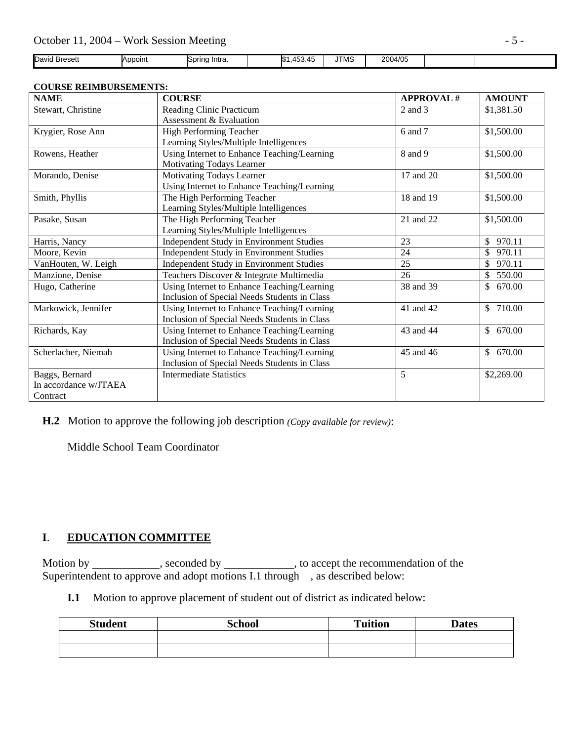| David Bresett | Appoint | Spring Intra. | $\overline{\phantom{0}}$<br>$\Delta$<br>.45<br>. עש | <b>JTMS</b> | 2004/05 |  |
|---------------|---------|---------------|-----------------------------------------------------|-------------|---------|--|

## **COURSE REIMBURSEMENTS:**

| <b>NAME</b>           | <b>COURSE</b>                                | <b>APPROVAL#</b> | <b>AMOUNT</b>          |
|-----------------------|----------------------------------------------|------------------|------------------------|
| Stewart, Christine    | Reading Clinic Practicum                     | 2 and 3          | \$1,381.50             |
|                       | Assessment & Evaluation                      |                  |                        |
| Krygier, Rose Ann     | High Performing Teacher                      | 6 and 7          | \$1,500.00             |
|                       | Learning Styles/Multiple Intelligences       |                  |                        |
| Rowens, Heather       | Using Internet to Enhance Teaching/Learning  | 8 and 9          | \$1,500.00             |
|                       | Motivating Todays Learner                    |                  |                        |
| Morando, Denise       | Motivating Todays Learner                    | 17 and 20        | \$1,500.00             |
|                       | Using Internet to Enhance Teaching/Learning  |                  |                        |
| Smith, Phyllis        | The High Performing Teacher                  | 18 and 19        | \$1,500.00             |
|                       | Learning Styles/Multiple Intelligences       |                  |                        |
| Pasake, Susan         | The High Performing Teacher                  | 21 and 22        | \$1,500.00             |
|                       | Learning Styles/Multiple Intelligences       |                  |                        |
| Harris, Nancy         | Independent Study in Environment Studies     | 23               | 970.11<br>$\mathbb{S}$ |
| Moore, Kevin          | Independent Study in Environment Studies     | 24               | $\mathbb{S}$<br>970.11 |
| VanHouten, W. Leigh   | Independent Study in Environment Studies     | 25               | \$<br>970.11           |
| Manzione, Denise      | Teachers Discover & Integrate Multimedia     | 26               | 550.00<br>$\mathbb{S}$ |
| Hugo, Catherine       | Using Internet to Enhance Teaching/Learning  | 38 and 39        | \$670.00               |
|                       | Inclusion of Special Needs Students in Class |                  |                        |
| Markowick, Jennifer   | Using Internet to Enhance Teaching/Learning  | 41 and 42        | \$710.00               |
|                       | Inclusion of Special Needs Students in Class |                  |                        |
| Richards, Kay         | Using Internet to Enhance Teaching/Learning  | 43 and 44        | \$670.00               |
|                       | Inclusion of Special Needs Students in Class |                  |                        |
| Scherlacher, Niemah   | Using Internet to Enhance Teaching/Learning  | 45 and 46        | \$670.00               |
|                       | Inclusion of Special Needs Students in Class |                  |                        |
| Baggs, Bernard        | <b>Intermediate Statistics</b>               | 5                | \$2,269.00             |
| In accordance w/JTAEA |                                              |                  |                        |
| Contract              |                                              |                  |                        |

 **H.2** Motion to approve the following job description *(Copy available for review)*:

Middle School Team Coordinator

## **I**. **EDUCATION COMMITTEE**

Motion by \_\_\_\_\_\_\_\_\_\_\_, seconded by \_\_\_\_\_\_\_\_\_\_\_, to accept the recommendation of the Superintendent to approve and adopt motions I.1 through , as described below:

**I.1** Motion to approve placement of student out of district as indicated below:

| <b>Student</b> | <b>School</b> | <b>Tuition</b> | <b>Dates</b> |
|----------------|---------------|----------------|--------------|
|                |               |                |              |
|                |               |                |              |